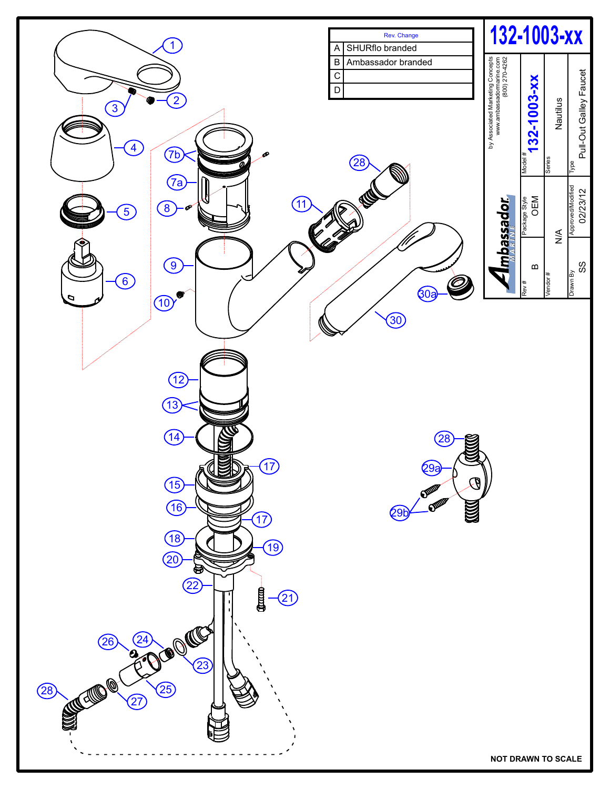